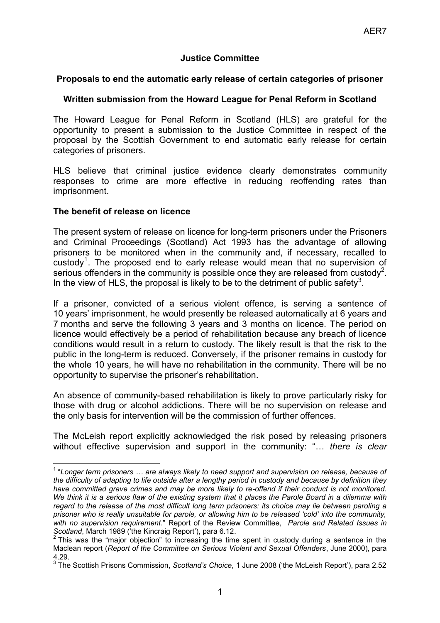# **Justice Committee**

#### **Proposals to end the automatic early release of certain categories of prisoner**

## **Written submission from the Howard League for Penal Reform in Scotland**

The Howard League for Penal Reform in Scotland (HLS) are grateful for the opportunity to present a submission to the Justice Committee in respect of the proposal by the Scottish Government to end automatic early release for certain categories of prisoners.

HLS believe that criminal justice evidence clearly demonstrates community responses to crime are more effective in reducing reoffending rates than imprisonment.

#### **The benefit of release on licence**

 $\overline{\phantom{a}}$ 

The present system of release on licence for long-term prisoners under the Prisoners and Criminal Proceedings (Scotland) Act 1993 has the advantage of allowing prisoners to be monitored when in the community and, if necessary, recalled to custody<sup>1</sup>. The proposed end to early release would mean that no supervision of serious offenders in the community is possible once they are released from custody<sup>2</sup>. In the view of HLS, the proposal is likely to be to the detriment of public safety<sup>3</sup>.

If a prisoner, convicted of a serious violent offence, is serving a sentence of 10 years" imprisonment, he would presently be released automatically at 6 years and 7 months and serve the following 3 years and 3 months on licence. The period on licence would effectively be a period of rehabilitation because any breach of licence conditions would result in a return to custody. The likely result is that the risk to the public in the long-term is reduced. Conversely, if the prisoner remains in custody for the whole 10 years, he will have no rehabilitation in the community. There will be no opportunity to supervise the prisoner"s rehabilitation.

An absence of community-based rehabilitation is likely to prove particularly risky for those with drug or alcohol addictions. There will be no supervision on release and the only basis for intervention will be the commission of further offences.

The McLeish report explicitly acknowledged the risk posed by releasing prisoners without effective supervision and support in the community: "… *there is clear* 

<sup>1</sup> "*Longer term prisoners … are always likely to need support and supervision on release, because of the difficulty of adapting to life outside after a lengthy period in custody and because by definition they have committed grave crimes and may be more likely to re-offend if their conduct is not monitored. We think it is a serious flaw of the existing system that it places the Parole Board in a dilemma with regard to the release of the most difficult long term prisoners: its choice may lie between paroling a prisoner who is really unsuitable for parole, or allowing him to be released 'cold' into the community, with no supervision requirement*." Report of the Review Committee, *Parole and Related Issues in Scotland*, March 1989 ('the Kincraig Report'), para 6.12.<br><sup>2</sup> This was the "major objection" to increasing the tim

This was the "major objection" to increasing the time spent in custody during a sentence in the Maclean report (*Report of the Committee on Serious Violent and Sexual Offenders*, June 2000), para 4.29.

<sup>&</sup>lt;sup>3</sup> The Scottish Prisons Commission, *Scotland's Choice*, 1 June 2008 ('the McLeish Report'), para 2.52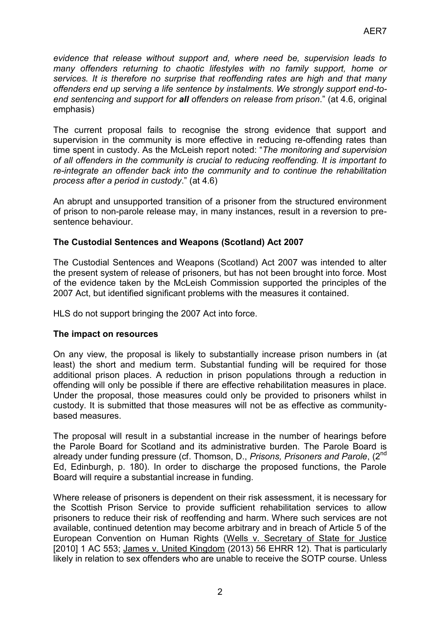*evidence that release without support and, where need be, supervision leads to many offenders returning to chaotic lifestyles with no family support, home or services. It is therefore no surprise that reoffending rates are high and that many offenders end up serving a life sentence by instalments. We strongly support end-toend sentencing and support for all offenders on release from prison*." (at 4.6, original emphasis)

The current proposal fails to recognise the strong evidence that support and supervision in the community is more effective in reducing re-offending rates than time spent in custody. As the McLeish report noted: "*The monitoring and supervision of all offenders in the community is crucial to reducing reoffending. It is important to re-integrate an offender back into the community and to continue the rehabilitation process after a period in custody*." (at 4.6)

An abrupt and unsupported transition of a prisoner from the structured environment of prison to non-parole release may, in many instances, result in a reversion to presentence behaviour.

# **The Custodial Sentences and Weapons (Scotland) Act 2007**

The Custodial Sentences and Weapons (Scotland) Act 2007 was intended to alter the present system of release of prisoners, but has not been brought into force. Most of the evidence taken by the McLeish Commission supported the principles of the 2007 Act, but identified significant problems with the measures it contained.

HLS do not support bringing the 2007 Act into force.

#### **The impact on resources**

On any view, the proposal is likely to substantially increase prison numbers in (at least) the short and medium term. Substantial funding will be required for those additional prison places. A reduction in prison populations through a reduction in offending will only be possible if there are effective rehabilitation measures in place. Under the proposal, those measures could only be provided to prisoners whilst in custody. It is submitted that those measures will not be as effective as communitybased measures.

The proposal will result in a substantial increase in the number of hearings before the Parole Board for Scotland and its administrative burden. The Parole Board is already under funding pressure (cf. Thomson, D., *Prisons, Prisoners and Parole*, (2nd Ed, Edinburgh, p. 180). In order to discharge the proposed functions, the Parole Board will require a substantial increase in funding.

Where release of prisoners is dependent on their risk assessment, it is necessary for the Scottish Prison Service to provide sufficient rehabilitation services to allow prisoners to reduce their risk of reoffending and harm. Where such services are not available, continued detention may become arbitrary and in breach of Article 5 of the European Convention on Human Rights (Wells v. Secretary of State for Justice [2010] 1 AC 553; James v. United Kingdom (2013) 56 EHRR 12). That is particularly likely in relation to sex offenders who are unable to receive the SOTP course. Unless